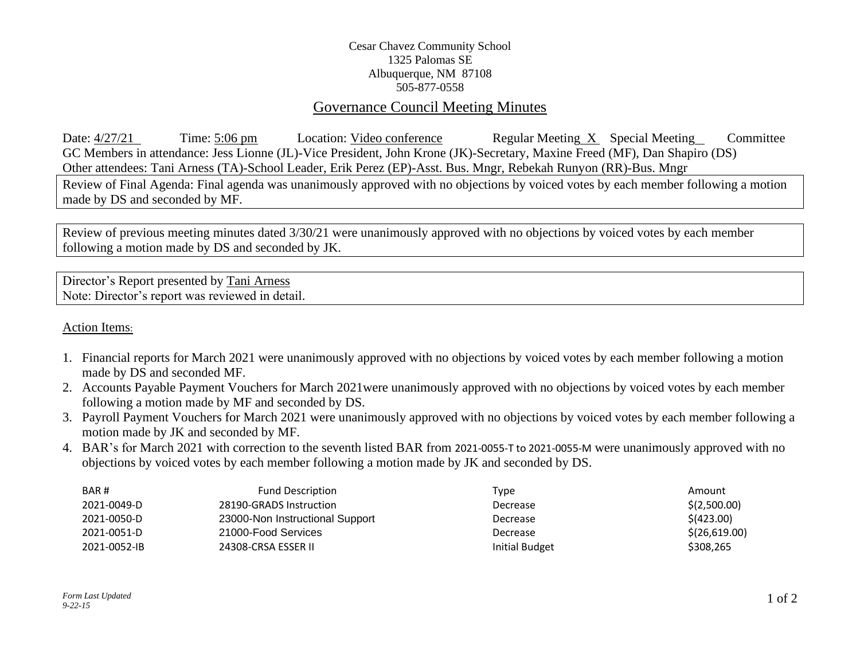## Cesar Chavez Community School 1325 Palomas SE Albuquerque, NM 87108 505-877-0558

## Governance Council Meeting Minutes

Date:  $4/27/21$  Time: 5:06 pm Location: Video conference Regular Meeting X Special Meeting Committee GC Members in attendance: Jess Lionne (JL)-Vice President, John Krone (JK)-Secretary, Maxine Freed (MF), Dan Shapiro (DS) Other attendees: Tani Arness (TA)-School Leader, Erik Perez (EP)-Asst. Bus. Mngr, Rebekah Runyon (RR)-Bus. Mngr

Review of Final Agenda: Final agenda was unanimously approved with no objections by voiced votes by each member following a motion made by DS and seconded by MF.

Review of previous meeting minutes dated 3/30/21 were unanimously approved with no objections by voiced votes by each member following a motion made by DS and seconded by JK.

Director's Report presented by Tani Arness Note: Director's report was reviewed in detail.

Action Items:

- 1. Financial reports for March 2021 were unanimously approved with no objections by voiced votes by each member following a motion made by DS and seconded MF.
- 2. Accounts Payable Payment Vouchers for March 2021were unanimously approved with no objections by voiced votes by each member following a motion made by MF and seconded by DS.
- 3. Payroll Payment Vouchers for March 2021 were unanimously approved with no objections by voiced votes by each member following a motion made by JK and seconded by MF.
- 4. BAR's for March 2021 with correction to the seventh listed BAR from 2021-0055-T to 2021-0055-M were unanimously approved with no objections by voiced votes by each member following a motion made by JK and seconded by DS.

| BAR#         | <b>Fund Description</b>         | Type           | Amount        |
|--------------|---------------------------------|----------------|---------------|
| 2021-0049-D  | 28190-GRADS Instruction         | Decrease       | \$(2,500.00)  |
| 2021-0050-D  | 23000-Non Instructional Support | Decrease       | \$ (423.00)   |
| 2021-0051-D  | 21000-Food Services             | Decrease       | \$(26,619.00) |
| 2021-0052-IB | 24308-CRSA ESSER II             | Initial Budget | \$308,265     |